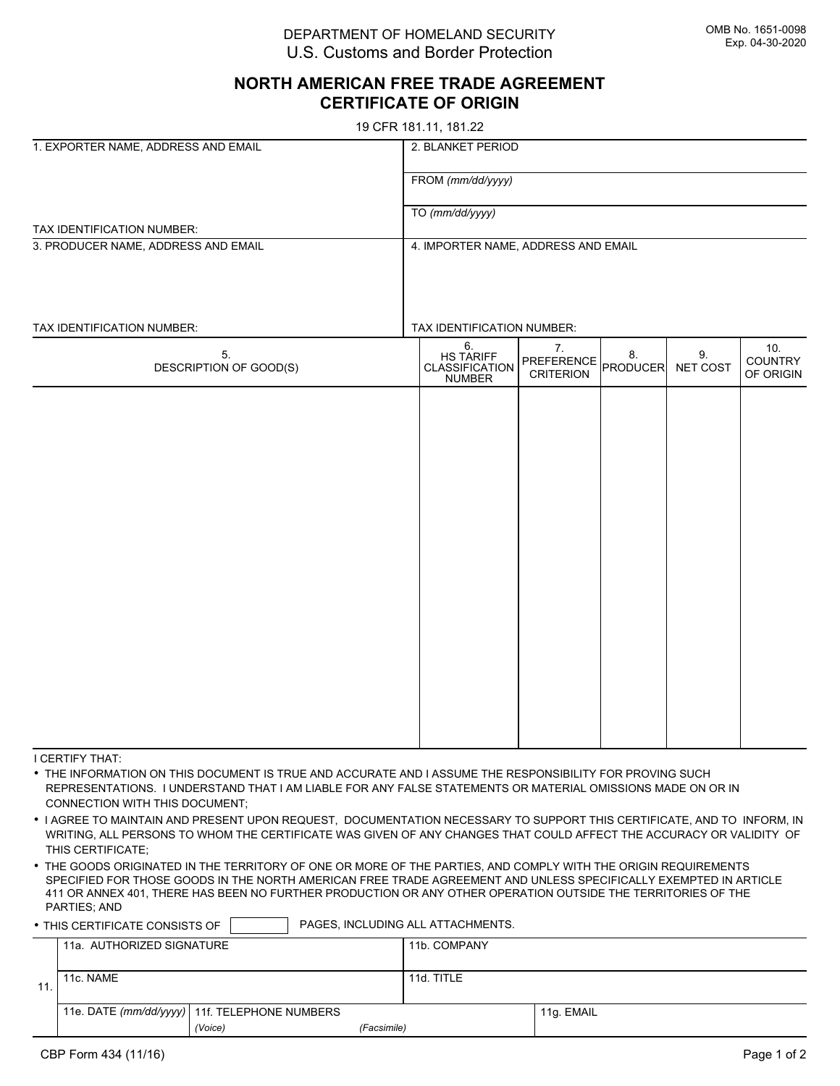DEPARTMENT OF HOMELAND SECURITY U.S. Customs and Border Protection

## **NORTH AMERICAN FREE TRADE AGREEMENT CERTIFICATE OF ORIGIN**

19 CFR 181.11, 181.22

| 1. EXPORTER NAME, ADDRESS AND EMAIL | 2. BLANKET PERIOD                   |                                                    |                                      |                       |                |                             |  |  |
|-------------------------------------|-------------------------------------|----------------------------------------------------|--------------------------------------|-----------------------|----------------|-----------------------------|--|--|
|                                     | FROM (mm/dd/yyyy)                   |                                                    |                                      |                       |                |                             |  |  |
|                                     | TO (mm/dd/yyyy)                     |                                                    |                                      |                       |                |                             |  |  |
| TAX IDENTIFICATION NUMBER:          |                                     |                                                    |                                      |                       |                |                             |  |  |
| 3. PRODUCER NAME, ADDRESS AND EMAIL | 4. IMPORTER NAME, ADDRESS AND EMAIL |                                                    |                                      |                       |                |                             |  |  |
|                                     |                                     |                                                    |                                      |                       |                |                             |  |  |
|                                     |                                     |                                                    |                                      |                       |                |                             |  |  |
| TAX IDENTIFICATION NUMBER:          |                                     | TAX IDENTIFICATION NUMBER:                         |                                      |                       |                |                             |  |  |
| 5.<br>DESCRIPTION OF GOOD(S)        |                                     | 6.<br>HS TARIFF<br>CLASSIFICATION<br><b>NUMBER</b> | 7.<br>PREFERENCE<br><b>CRITERION</b> | 8.<br><b>PRODUCER</b> | 9.<br>NET COST | 10.<br>COUNTRY<br>OF ORIGIN |  |  |
|                                     |                                     |                                                    |                                      |                       |                |                             |  |  |
|                                     |                                     |                                                    |                                      |                       |                |                             |  |  |
|                                     |                                     |                                                    |                                      |                       |                |                             |  |  |
|                                     |                                     |                                                    |                                      |                       |                |                             |  |  |
|                                     |                                     |                                                    |                                      |                       |                |                             |  |  |
|                                     |                                     |                                                    |                                      |                       |                |                             |  |  |
|                                     |                                     |                                                    |                                      |                       |                |                             |  |  |
|                                     |                                     |                                                    |                                      |                       |                |                             |  |  |
|                                     |                                     |                                                    |                                      |                       |                |                             |  |  |
|                                     |                                     |                                                    |                                      |                       |                |                             |  |  |
|                                     |                                     |                                                    |                                      |                       |                |                             |  |  |
|                                     |                                     |                                                    |                                      |                       |                |                             |  |  |
|                                     |                                     |                                                    |                                      |                       |                |                             |  |  |
|                                     |                                     |                                                    |                                      |                       |                |                             |  |  |
|                                     |                                     |                                                    |                                      |                       |                |                             |  |  |

I CERTIFY THAT:

• THE INFORMATION ON THIS DOCUMENT IS TRUE AND ACCURATE AND I ASSUME THE RESPONSIBILITY FOR PROVING SUCH REPRESENTATIONS. I UNDERSTAND THAT I AM LIABLE FOR ANY FALSE STATEMENTS OR MATERIAL OMISSIONS MADE ON OR IN CONNECTION WITH THIS DOCUMENT;

• I AGREE TO MAINTAIN AND PRESENT UPON REQUEST, DOCUMENTATION NECESSARY TO SUPPORT THIS CERTIFICATE, AND TO INFORM, IN WRITING, ALL PERSONS TO WHOM THE CERTIFICATE WAS GIVEN OF ANY CHANGES THAT COULD AFFECT THE ACCURACY OR VALIDITY OF THIS CERTIFICATE;

• THE GOODS ORIGINATED IN THE TERRITORY OF ONE OR MORE OF THE PARTIES, AND COMPLY WITH THE ORIGIN REQUIREMENTS SPECIFIED FOR THOSE GOODS IN THE NORTH AMERICAN FREE TRADE AGREEMENT AND UNLESS SPECIFICALLY EXEMPTED IN ARTICLE 411 OR ANNEX 401, THERE HAS BEEN NO FURTHER PRODUCTION OR ANY OTHER OPERATION OUTSIDE THE TERRITORIES OF THE PARTIES; AND

• THIS CERTIFICATE CONSISTS OF **PAGES, INCLUDING ALL ATTACHMENTS.** 

|     | 11a. AUTHORIZED SIGNATURE |                                                 |             | 11b. COMPANY |            |
|-----|---------------------------|-------------------------------------------------|-------------|--------------|------------|
| 11. | 11c. NAME                 |                                                 |             | 11d. TITLE   |            |
|     |                           | 11e. DATE (mm/dd/yyyy)   11f. TELEPHONE NUMBERS |             |              | 11g. EMAIL |
|     |                           | (Voice)                                         | (Facsimile) |              |            |